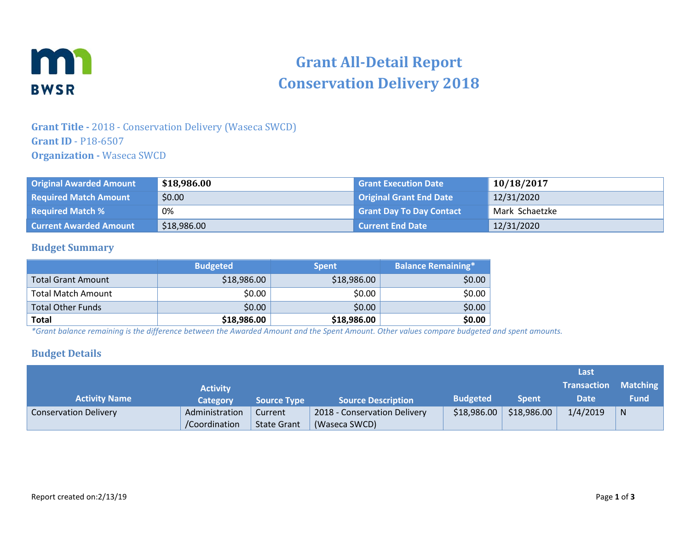

# **Grant All-Detail Report Conservation Delivery 2018**

## **Grant Title -** 2018 - Conservation Delivery (Waseca SWCD) **Grant ID** - P18-6507 **Organization -** Waseca SWCD

| <b>Original Awarded Amount</b> | \$18,986.00 | <b>Grant Execution Date</b>     | 10/18/2017     |
|--------------------------------|-------------|---------------------------------|----------------|
| <b>Required Match Amount</b>   | \$0.00      | Original Grant End Date         | 12/31/2020     |
| <b>Required Match %</b>        | 0%          | <b>Grant Day To Day Contact</b> | Mark Schaetzke |
| <b>Current Awarded Amount</b>  | \$18,986.00 | <b>Current End Date</b>         | 12/31/2020     |

#### **Budget Summary**

|                           | <b>Budgeted</b> | <b>Spent</b> | <b>Balance Remaining*1</b> |
|---------------------------|-----------------|--------------|----------------------------|
| <b>Total Grant Amount</b> | \$18,986.00     | \$18,986.00  | \$0.00                     |
| <b>Total Match Amount</b> | \$0.00          | \$0.00       | \$0.00                     |
| <b>Total Other Funds</b>  | \$0.00          | \$0.00       | \$0.00                     |
| <b>Total</b>              | \$18,986.00     | \$18,986.00  | \$0.00                     |

*\*Grant balance remaining is the difference between the Awarded Amount and the Spent Amount. Other values compare budgeted and spent amounts.*

#### **Budget Details**

|                              |                 |                    |                              |                 |              | Last               |             |
|------------------------------|-----------------|--------------------|------------------------------|-----------------|--------------|--------------------|-------------|
|                              | <b>Activity</b> |                    |                              |                 |              | <b>Transaction</b> | Matching    |
| <b>Activity Name</b>         | Category        | <b>Source Type</b> | <b>Source Description</b>    | <b>Budgeted</b> | <b>Spent</b> | <b>Date</b>        | <b>Fund</b> |
| <b>Conservation Delivery</b> | Administration  | Current            | 2018 - Conservation Delivery | \$18,986.00     | \$18,986.00  | 1/4/2019           | N           |
|                              | /Coordination   | <b>State Grant</b> | (Waseca SWCD)                |                 |              |                    |             |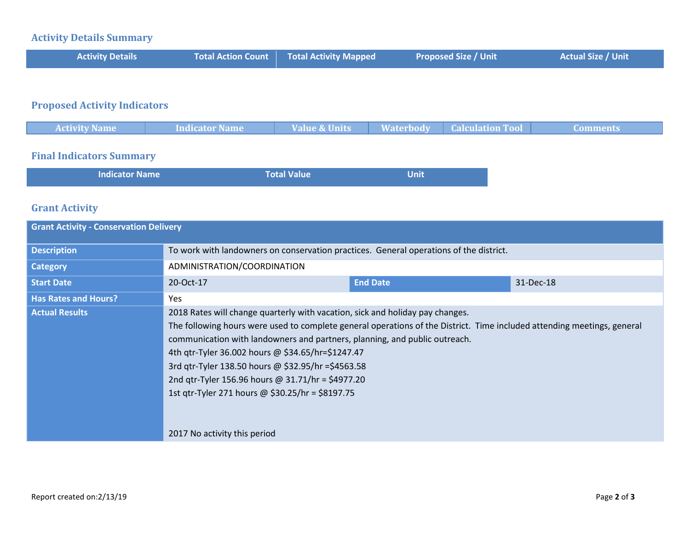#### **Activity Details Summary**

| <b>Activity Details</b> | <b>Total Action Count Total Activity Mapped</b> | <b>Proposed Size / Unit</b> | <b>Actual Size / Unit</b> |
|-------------------------|-------------------------------------------------|-----------------------------|---------------------------|
|                         |                                                 |                             |                           |

# **Proposed Activity Indicators**

| <b>Activity Name</b> | Indicator Name | Value & Units | Waterbody   Calculation Tool | Comments |
|----------------------|----------------|---------------|------------------------------|----------|
|                      |                |               |                              |          |

## **Final Indicators Summary**

| <b>Indicator Name</b> | Total Value | <b>Unit</b> |
|-----------------------|-------------|-------------|
|                       |             |             |

#### **Grant Activity**

| <b>Grant Activity - Conservation Delivery</b> |                                                                                                                                                                                                                                                                                                                                                                                                                                                                                                                                             |                 |           |  |
|-----------------------------------------------|---------------------------------------------------------------------------------------------------------------------------------------------------------------------------------------------------------------------------------------------------------------------------------------------------------------------------------------------------------------------------------------------------------------------------------------------------------------------------------------------------------------------------------------------|-----------------|-----------|--|
| <b>Description</b>                            | To work with landowners on conservation practices. General operations of the district.                                                                                                                                                                                                                                                                                                                                                                                                                                                      |                 |           |  |
| <b>Category</b>                               | ADMINISTRATION/COORDINATION                                                                                                                                                                                                                                                                                                                                                                                                                                                                                                                 |                 |           |  |
| <b>Start Date</b>                             | 20-Oct-17                                                                                                                                                                                                                                                                                                                                                                                                                                                                                                                                   | <b>End Date</b> | 31-Dec-18 |  |
| <b>Has Rates and Hours?</b>                   | Yes.                                                                                                                                                                                                                                                                                                                                                                                                                                                                                                                                        |                 |           |  |
| <b>Actual Results</b>                         | 2018 Rates will change quarterly with vacation, sick and holiday pay changes.<br>The following hours were used to complete general operations of the District. Time included attending meetings, general<br>communication with landowners and partners, planning, and public outreach.<br>4th qtr-Tyler 36.002 hours @ \$34.65/hr=\$1247.47<br>3rd gtr-Tyler 138.50 hours @ \$32.95/hr = \$4563.58<br>2nd qtr-Tyler 156.96 hours @ 31.71/hr = \$4977.20<br>1st qtr-Tyler 271 hours @ \$30.25/hr = \$8197.75<br>2017 No activity this period |                 |           |  |